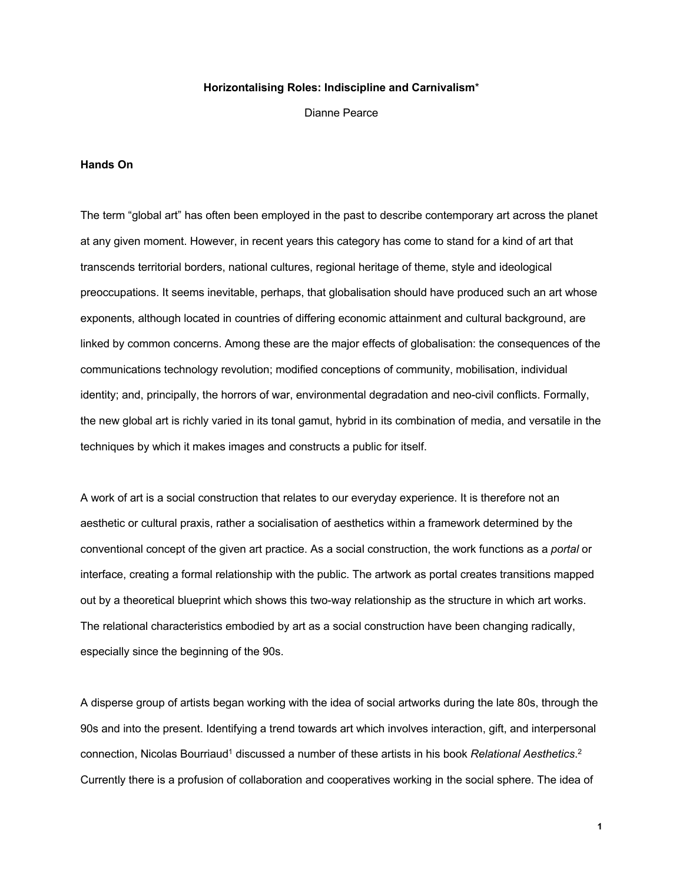#### **Horizontalising Roles: Indiscipline and Carnivalism**\*

Dianne Pearce

#### **Hands On**

The term "global art" has often been employed in the past to describe contemporary art across the planet at any given moment. However, in recent years this category has come to stand for a kind of art that transcends territorial borders, national cultures, regional heritage of theme, style and ideological preoccupations. It seems inevitable, perhaps, that globalisation should have produced such an art whose exponents, although located in countries of differing economic attainment and cultural background, are linked by common concerns. Among these are the major effects of globalisation: the consequences of the communications technology revolution; modified conceptions of community, mobilisation, individual identity; and, principally, the horrors of war, environmental degradation and neo-civil conflicts. Formally, the new global art is richly varied in its tonal gamut, hybrid in its combination of media, and versatile in the techniques by which it makes images and constructs a public for itself.

A work of art is a social construction that relates to our everyday experience. It is therefore not an aesthetic or cultural praxis, rather a socialisation of aesthetics within a framework determined by the conventional concept of the given art practice. As a social construction, the work functions as a *portal* or interface, creating a formal relationship with the public. The artwork as portal creates transitions mapped out by a theoretical blueprint which shows this two-way relationship as the structure in which art works. The relational characteristics embodied by art as a social construction have been changing radically, especially since the beginning of the 90s.

A disperse group of artists began working with the idea of social artworks during the late 80s, through the 90s and into the present. Identifying a trend towards art which involves interaction, gift, and interpersonal connection, Nicolas Bourriaud<sup>1</sup> discussed a number of these artists in his book *Relational Aesthetics*.<sup>2</sup> Currently there is a profusion of collaboration and cooperatives working in the social sphere. The idea of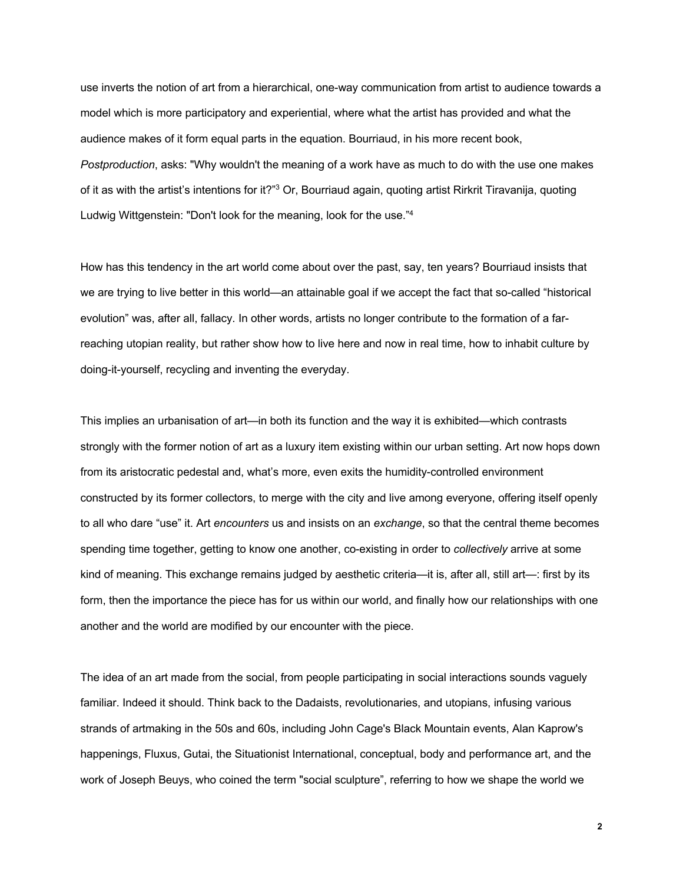use inverts the notion of art from a hierarchical, one-way communication from artist to audience towards a model which is more participatory and experiential, where what the artist has provided and what the audience makes of it form equal parts in the equation. Bourriaud, in his more recent book, *Postproduction*, asks: "Why wouldn't the meaning of a work have as much to do with the use one makes of it as with the artist's intentions for it?"3 Or, Bourriaud again, quoting artist Rirkrit Tiravanija, quoting Ludwig Wittgenstein: "Don't look for the meaning, look for the use."4

How has this tendency in the art world come about over the past, say, ten years? Bourriaud insists that we are trying to live better in this world—an attainable goal if we accept the fact that so-called "historical evolution" was, after all, fallacy. In other words, artists no longer contribute to the formation of a farreaching utopian reality, but rather show how to live here and now in real time, how to inhabit culture by doing-it-yourself, recycling and inventing the everyday.

This implies an urbanisation of art—in both its function and the way it is exhibited—which contrasts strongly with the former notion of art as a luxury item existing within our urban setting. Art now hops down from its aristocratic pedestal and, what's more, even exits the humidity-controlled environment constructed by its former collectors, to merge with the city and live among everyone, offering itself openly to all who dare "use" it. Art *encounters* us and insists on an *exchange*, so that the central theme becomes spending time together, getting to know one another, co-existing in order to *collectively* arrive at some kind of meaning. This exchange remains judged by aesthetic criteria—it is, after all, still art—: first by its form, then the importance the piece has for us within our world, and finally how our relationships with one another and the world are modified by our encounter with the piece.

The idea of an art made from the social, from people participating in social interactions sounds vaguely familiar. Indeed it should. Think back to the Dadaists, revolutionaries, and utopians, infusing various strands of artmaking in the 50s and 60s, including John Cage's Black Mountain events, Alan Kaprow's happenings, Fluxus, Gutai, the Situationist International, conceptual, body and performance art, and the work of Joseph Beuys, who coined the term "social sculpture", referring to how we shape the world we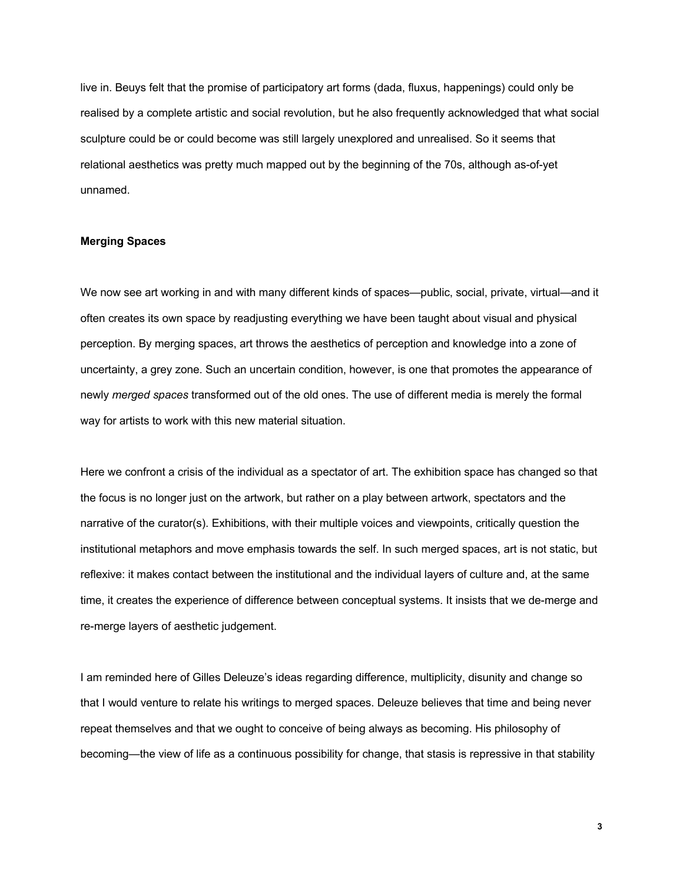live in. Beuys felt that the promise of participatory art forms (dada, fluxus, happenings) could only be realised by a complete artistic and social revolution, but he also frequently acknowledged that what social sculpture could be or could become was still largely unexplored and unrealised. So it seems that relational aesthetics was pretty much mapped out by the beginning of the 70s, although as-of-yet unnamed.

# **Merging Spaces**

We now see art working in and with many different kinds of spaces—public, social, private, virtual—and it often creates its own space by readjusting everything we have been taught about visual and physical perception. By merging spaces, art throws the aesthetics of perception and knowledge into a zone of uncertainty, a grey zone. Such an uncertain condition, however, is one that promotes the appearance of newly *merged spaces* transformed out of the old ones. The use of different media is merely the formal way for artists to work with this new material situation.

Here we confront a crisis of the individual as a spectator of art. The exhibition space has changed so that the focus is no longer just on the artwork, but rather on a play between artwork, spectators and the narrative of the curator(s). Exhibitions, with their multiple voices and viewpoints, critically question the institutional metaphors and move emphasis towards the self. In such merged spaces, art is not static, but reflexive: it makes contact between the institutional and the individual layers of culture and, at the same time, it creates the experience of difference between conceptual systems. It insists that we de-merge and re-merge layers of aesthetic judgement.

I am reminded here of Gilles Deleuze's ideas regarding difference, multiplicity, disunity and change so that I would venture to relate his writings to merged spaces. Deleuze believes that time and being never repeat themselves and that we ought to conceive of being always as becoming. His philosophy of becoming—the view of life as a continuous possibility for change, that stasis is repressive in that stability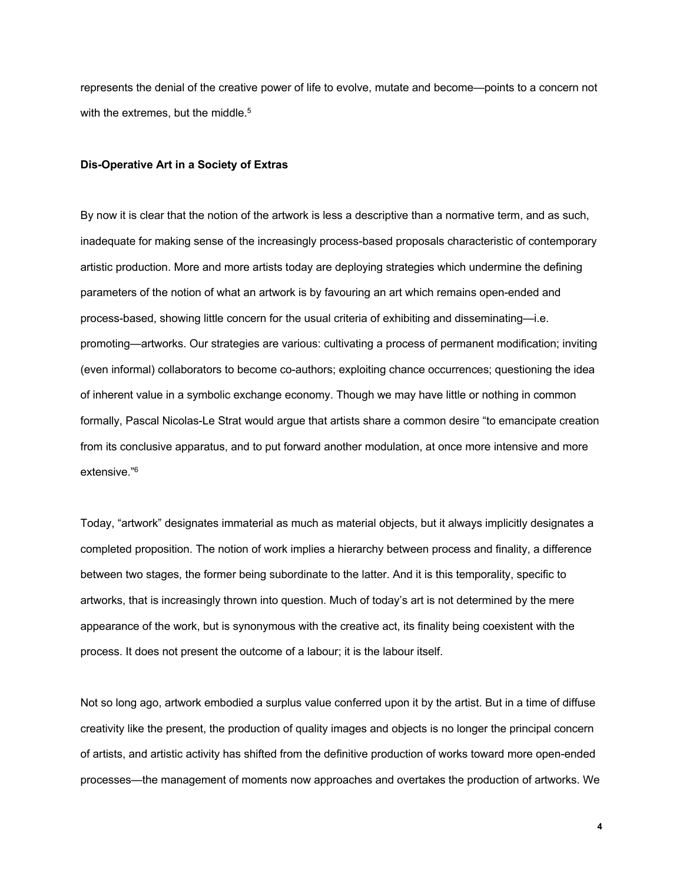represents the denial of the creative power of life to evolve, mutate and become—points to a concern not with the extremes, but the middle.<sup>5</sup>

#### **Dis-Operative Art in a Society of Extras**

By now it is clear that the notion of the artwork is less a descriptive than a normative term, and as such, inadequate for making sense of the increasingly process-based proposals characteristic of contemporary artistic production. More and more artists today are deploying strategies which undermine the defining parameters of the notion of what an artwork is by favouring an art which remains open-ended and process-based, showing little concern for the usual criteria of exhibiting and disseminating—i.e. promoting—artworks. Our strategies are various: cultivating a process of permanent modification; inviting (even informal) collaborators to become co-authors; exploiting chance occurrences; questioning the idea of inherent value in a symbolic exchange economy. Though we may have little or nothing in common formally, Pascal Nicolas-Le Strat would argue that artists share a common desire "to emancipate creation from its conclusive apparatus, and to put forward another modulation, at once more intensive and more extensive."6

Today, "artwork" designates immaterial as much as material objects, but it always implicitly designates a completed proposition. The notion of work implies a hierarchy between process and finality, a difference between two stages, the former being subordinate to the latter. And it is this temporality, specific to artworks, that is increasingly thrown into question. Much of today's art is not determined by the mere appearance of the work, but is synonymous with the creative act, its finality being coexistent with the process. It does not present the outcome of a labour; it is the labour itself.

Not so long ago, artwork embodied a surplus value conferred upon it by the artist. But in a time of diffuse creativity like the present, the production of quality images and objects is no longer the principal concern of artists, and artistic activity has shifted from the definitive production of works toward more open-ended processes—the management of moments now approaches and overtakes the production of artworks. We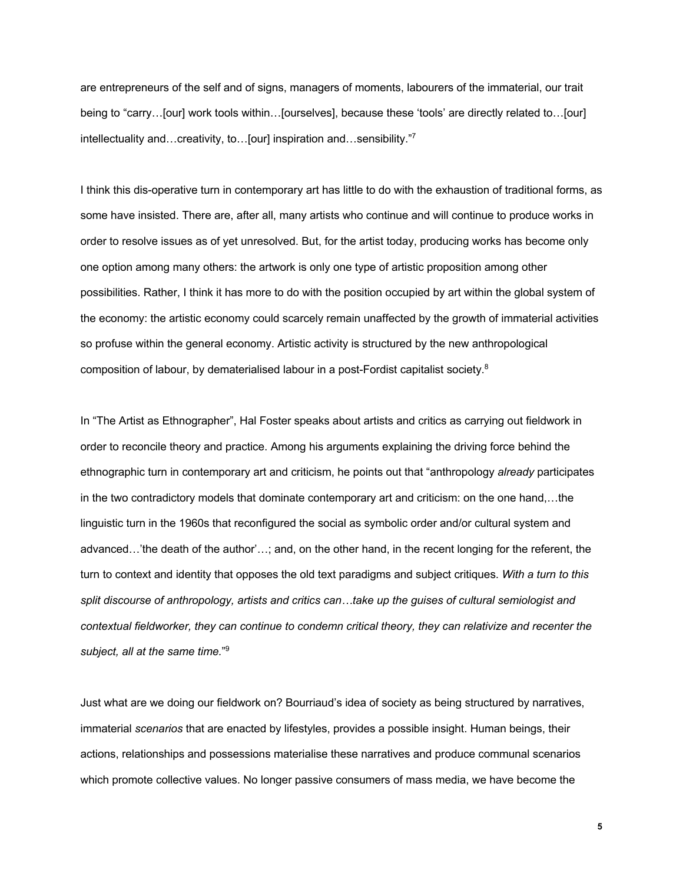are entrepreneurs of the self and of signs, managers of moments, labourers of the immaterial, our trait being to "carry…[our] work tools within…[ourselves], because these 'tools' are directly related to…[our] intellectuality and…creativity, to…[our] inspiration and…sensibility."7

I think this dis-operative turn in contemporary art has little to do with the exhaustion of traditional forms, as some have insisted. There are, after all, many artists who continue and will continue to produce works in order to resolve issues as of yet unresolved. But, for the artist today, producing works has become only one option among many others: the artwork is only one type of artistic proposition among other possibilities. Rather, I think it has more to do with the position occupied by art within the global system of the economy: the artistic economy could scarcely remain unaffected by the growth of immaterial activities so profuse within the general economy. Artistic activity is structured by the new anthropological composition of labour, by dematerialised labour in a post-Fordist capitalist society.8

In "The Artist as Ethnographer", Hal Foster speaks about artists and critics as carrying out fieldwork in order to reconcile theory and practice. Among his arguments explaining the driving force behind the ethnographic turn in contemporary art and criticism, he points out that "anthropology *already* participates in the two contradictory models that dominate contemporary art and criticism: on the one hand,…the linguistic turn in the 1960s that reconfigured the social as symbolic order and/or cultural system and advanced…'the death of the author'…; and, on the other hand, in the recent longing for the referent, the turn to context and identity that opposes the old text paradigms and subject critiques. *With a turn to this split discourse of anthropology, artists and critics can…take up the guises of cultural semiologist and contextual fieldworker, they can continue to condemn critical theory, they can relativize and recenter the subject, all at the same time.*" 9

Just what are we doing our fieldwork on? Bourriaud's idea of society as being structured by narratives, immaterial *scenarios* that are enacted by lifestyles, provides a possible insight. Human beings, their actions, relationships and possessions materialise these narratives and produce communal scenarios which promote collective values. No longer passive consumers of mass media, we have become the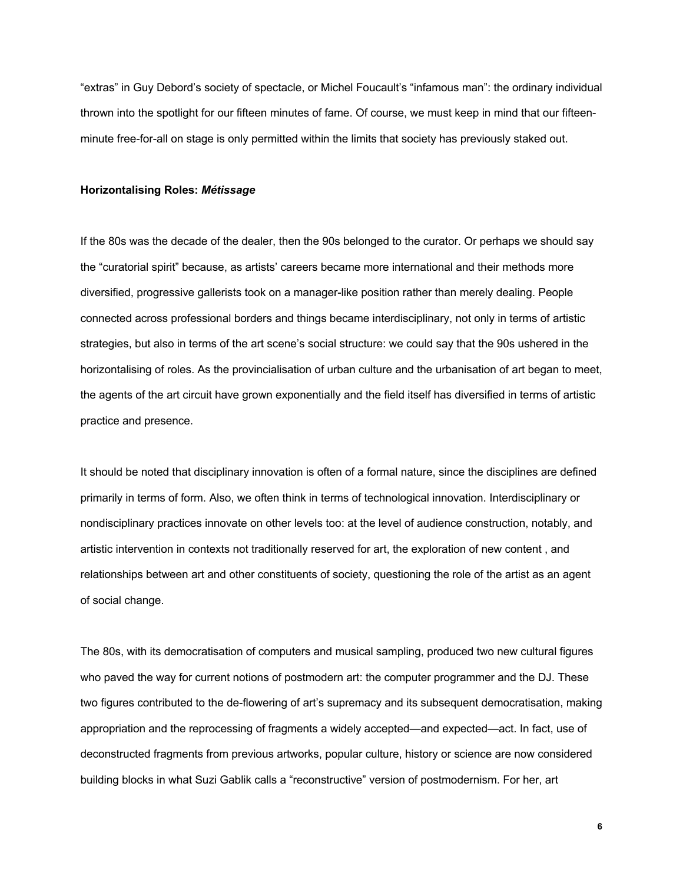"extras" in Guy Debord's society of spectacle, or Michel Foucault's "infamous man": the ordinary individual thrown into the spotlight for our fifteen minutes of fame. Of course, we must keep in mind that our fifteenminute free-for-all on stage is only permitted within the limits that society has previously staked out.

# **Horizontalising Roles:** *Métissage*

If the 80s was the decade of the dealer, then the 90s belonged to the curator. Or perhaps we should say the "curatorial spirit" because, as artists' careers became more international and their methods more diversified, progressive gallerists took on a manager-like position rather than merely dealing. People connected across professional borders and things became interdisciplinary, not only in terms of artistic strategies, but also in terms of the art scene's social structure: we could say that the 90s ushered in the horizontalising of roles. As the provincialisation of urban culture and the urbanisation of art began to meet, the agents of the art circuit have grown exponentially and the field itself has diversified in terms of artistic practice and presence.

It should be noted that disciplinary innovation is often of a formal nature, since the disciplines are defined primarily in terms of form. Also, we often think in terms of technological innovation. Interdisciplinary or nondisciplinary practices innovate on other levels too: at the level of audience construction, notably, and artistic intervention in contexts not traditionally reserved for art, the exploration of new content , and relationships between art and other constituents of society, questioning the role of the artist as an agent of social change.

The 80s, with its democratisation of computers and musical sampling, produced two new cultural figures who paved the way for current notions of postmodern art: the computer programmer and the DJ. These two figures contributed to the de-flowering of art's supremacy and its subsequent democratisation, making appropriation and the reprocessing of fragments a widely accepted—and expected—act. In fact, use of deconstructed fragments from previous artworks, popular culture, history or science are now considered building blocks in what Suzi Gablik calls a "reconstructive" version of postmodernism. For her, art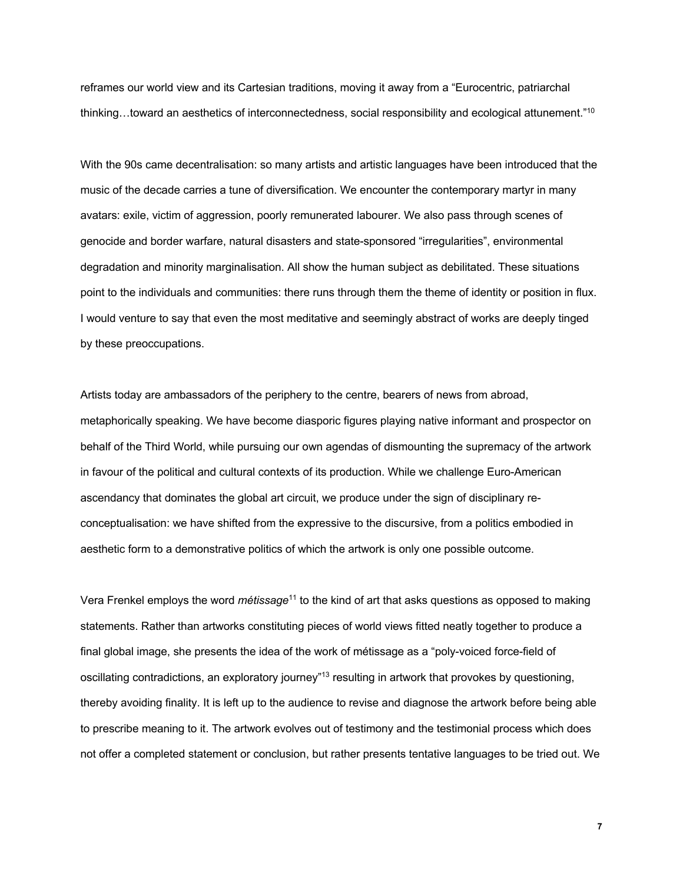reframes our world view and its Cartesian traditions, moving it away from a "Eurocentric, patriarchal thinking…toward an aesthetics of interconnectedness, social responsibility and ecological attunement."10

With the 90s came decentralisation: so many artists and artistic languages have been introduced that the music of the decade carries a tune of diversification. We encounter the contemporary martyr in many avatars: exile, victim of aggression, poorly remunerated labourer. We also pass through scenes of genocide and border warfare, natural disasters and state-sponsored "irregularities", environmental degradation and minority marginalisation. All show the human subject as debilitated. These situations point to the individuals and communities: there runs through them the theme of identity or position in flux. I would venture to say that even the most meditative and seemingly abstract of works are deeply tinged by these preoccupations.

Artists today are ambassadors of the periphery to the centre, bearers of news from abroad, metaphorically speaking. We have become diasporic figures playing native informant and prospector on behalf of the Third World, while pursuing our own agendas of dismounting the supremacy of the artwork in favour of the political and cultural contexts of its production. While we challenge Euro-American ascendancy that dominates the global art circuit, we produce under the sign of disciplinary reconceptualisation: we have shifted from the expressive to the discursive, from a politics embodied in aesthetic form to a demonstrative politics of which the artwork is only one possible outcome.

Vera Frenkel employs the word *métissage*<sup>11</sup> to the kind of art that asks questions as opposed to making statements. Rather than artworks constituting pieces of world views fitted neatly together to produce a final global image, she presents the idea of the work of métissage as a "poly-voiced force-field of oscillating contradictions, an exploratory journey"13 resulting in artwork that provokes by questioning, thereby avoiding finality. It is left up to the audience to revise and diagnose the artwork before being able to prescribe meaning to it. The artwork evolves out of testimony and the testimonial process which does not offer a completed statement or conclusion, but rather presents tentative languages to be tried out. We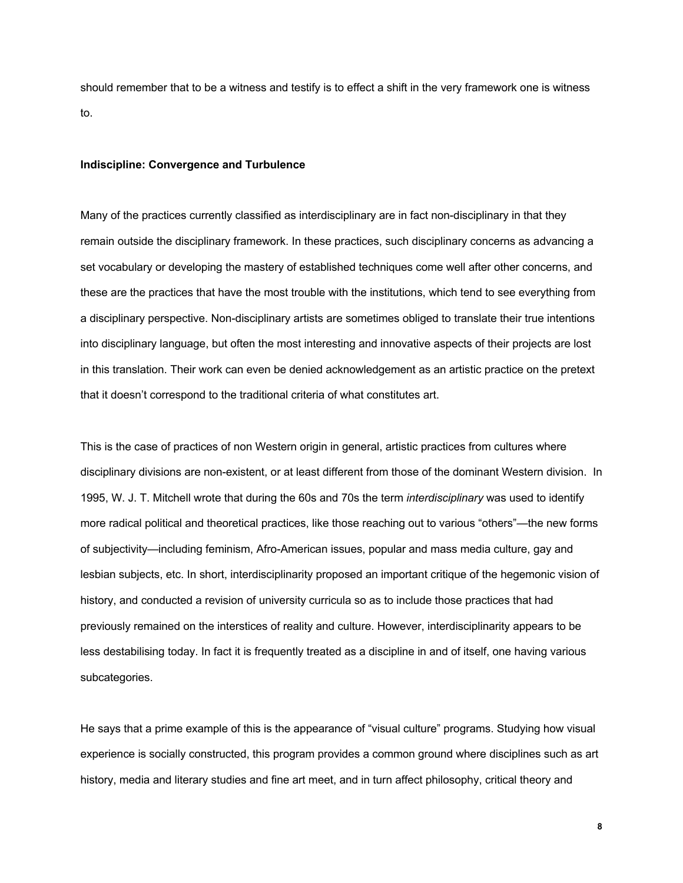should remember that to be a witness and testify is to effect a shift in the very framework one is witness to.

# **Indiscipline: Convergence and Turbulence**

Many of the practices currently classified as interdisciplinary are in fact non-disciplinary in that they remain outside the disciplinary framework. In these practices, such disciplinary concerns as advancing a set vocabulary or developing the mastery of established techniques come well after other concerns, and these are the practices that have the most trouble with the institutions, which tend to see everything from a disciplinary perspective. Non-disciplinary artists are sometimes obliged to translate their true intentions into disciplinary language, but often the most interesting and innovative aspects of their projects are lost in this translation. Their work can even be denied acknowledgement as an artistic practice on the pretext that it doesn't correspond to the traditional criteria of what constitutes art.

This is the case of practices of non Western origin in general, artistic practices from cultures where disciplinary divisions are non-existent, or at least different from those of the dominant Western division. In 1995, W. J. T. Mitchell wrote that during the 60s and 70s the term *interdisciplinary* was used to identify more radical political and theoretical practices, like those reaching out to various "others"—the new forms of subjectivity—including feminism, Afro-American issues, popular and mass media culture, gay and lesbian subjects, etc. In short, interdisciplinarity proposed an important critique of the hegemonic vision of history, and conducted a revision of university curricula so as to include those practices that had previously remained on the interstices of reality and culture. However, interdisciplinarity appears to be less destabilising today. In fact it is frequently treated as a discipline in and of itself, one having various subcategories.

He says that a prime example of this is the appearance of "visual culture" programs. Studying how visual experience is socially constructed, this program provides a common ground where disciplines such as art history, media and literary studies and fine art meet, and in turn affect philosophy, critical theory and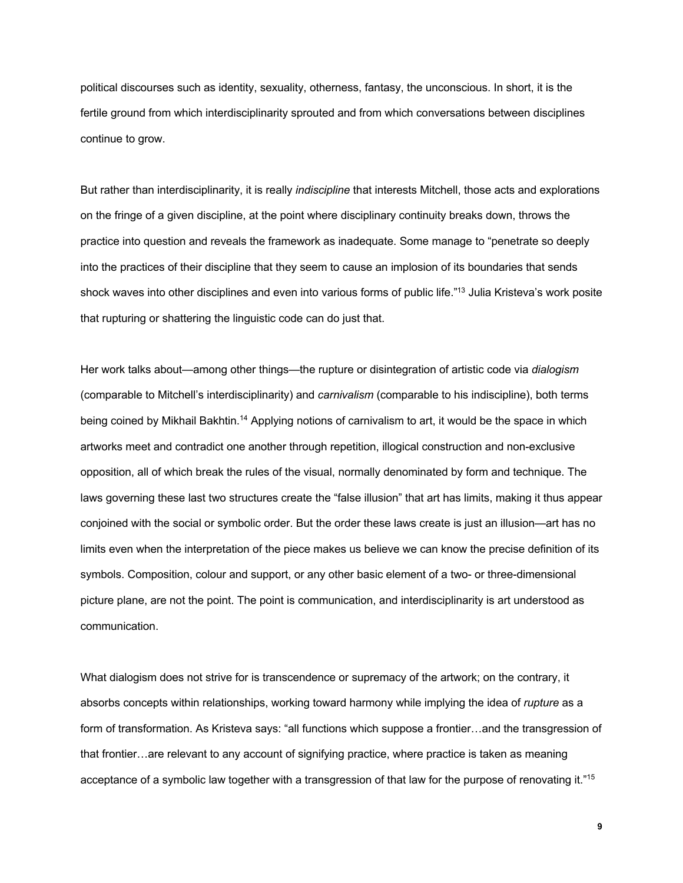political discourses such as identity, sexuality, otherness, fantasy, the unconscious. In short, it is the fertile ground from which interdisciplinarity sprouted and from which conversations between disciplines continue to grow.

But rather than interdisciplinarity, it is really *indiscipline* that interests Mitchell, those acts and explorations on the fringe of a given discipline, at the point where disciplinary continuity breaks down, throws the practice into question and reveals the framework as inadequate. Some manage to "penetrate so deeply into the practices of their discipline that they seem to cause an implosion of its boundaries that sends shock waves into other disciplines and even into various forms of public life."13 Julia Kristeva's work posite that rupturing or shattering the linguistic code can do just that.

Her work talks about—among other things—the rupture or disintegration of artistic code via *dialogism* (comparable to Mitchell's interdisciplinarity) and *carnivalism* (comparable to his indiscipline), both terms being coined by Mikhail Bakhtin.<sup>14</sup> Applying notions of carnivalism to art, it would be the space in which artworks meet and contradict one another through repetition, illogical construction and non-exclusive opposition, all of which break the rules of the visual, normally denominated by form and technique. The laws governing these last two structures create the "false illusion" that art has limits, making it thus appear conjoined with the social or symbolic order. But the order these laws create is just an illusion—art has no limits even when the interpretation of the piece makes us believe we can know the precise definition of its symbols. Composition, colour and support, or any other basic element of a two- or three-dimensional picture plane, are not the point. The point is communication, and interdisciplinarity is art understood as communication.

What dialogism does not strive for is transcendence or supremacy of the artwork; on the contrary, it absorbs concepts within relationships, working toward harmony while implying the idea of *rupture* as a form of transformation. As Kristeva says: "all functions which suppose a frontier…and the transgression of that frontier…are relevant to any account of signifying practice, where practice is taken as meaning acceptance of a symbolic law together with a transgression of that law for the purpose of renovating it."15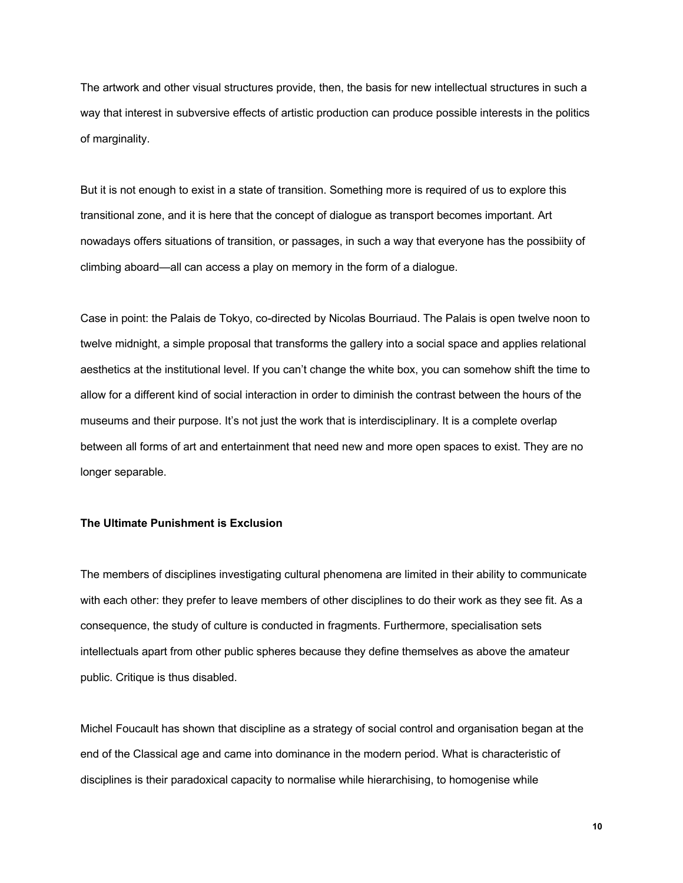The artwork and other visual structures provide, then, the basis for new intellectual structures in such a way that interest in subversive effects of artistic production can produce possible interests in the politics of marginality.

But it is not enough to exist in a state of transition. Something more is required of us to explore this transitional zone, and it is here that the concept of dialogue as transport becomes important. Art nowadays offers situations of transition, or passages, in such a way that everyone has the possibiity of climbing aboard—all can access a play on memory in the form of a dialogue.

Case in point: the Palais de Tokyo, co-directed by Nicolas Bourriaud. The Palais is open twelve noon to twelve midnight, a simple proposal that transforms the gallery into a social space and applies relational aesthetics at the institutional level. If you can't change the white box, you can somehow shift the time to allow for a different kind of social interaction in order to diminish the contrast between the hours of the museums and their purpose. It's not just the work that is interdisciplinary. It is a complete overlap between all forms of art and entertainment that need new and more open spaces to exist. They are no longer separable.

# **The Ultimate Punishment is Exclusion**

The members of disciplines investigating cultural phenomena are limited in their ability to communicate with each other: they prefer to leave members of other disciplines to do their work as they see fit. As a consequence, the study of culture is conducted in fragments. Furthermore, specialisation sets intellectuals apart from other public spheres because they define themselves as above the amateur public. Critique is thus disabled.

Michel Foucault has shown that discipline as a strategy of social control and organisation began at the end of the Classical age and came into dominance in the modern period. What is characteristic of disciplines is their paradoxical capacity to normalise while hierarchising, to homogenise while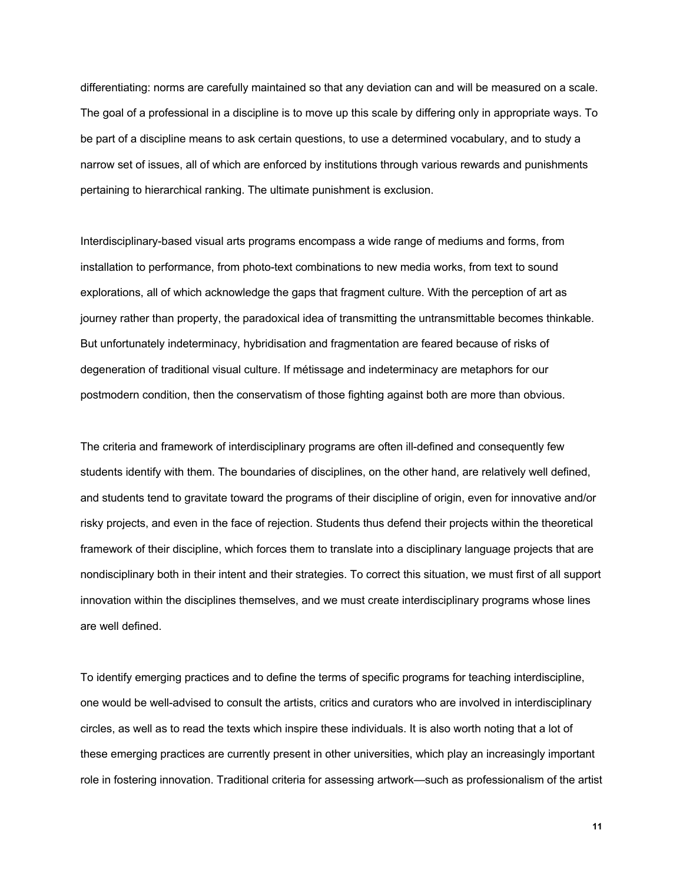differentiating: norms are carefully maintained so that any deviation can and will be measured on a scale. The goal of a professional in a discipline is to move up this scale by differing only in appropriate ways. To be part of a discipline means to ask certain questions, to use a determined vocabulary, and to study a narrow set of issues, all of which are enforced by institutions through various rewards and punishments pertaining to hierarchical ranking. The ultimate punishment is exclusion.

Interdisciplinary-based visual arts programs encompass a wide range of mediums and forms, from installation to performance, from photo-text combinations to new media works, from text to sound explorations, all of which acknowledge the gaps that fragment culture. With the perception of art as journey rather than property, the paradoxical idea of transmitting the untransmittable becomes thinkable. But unfortunately indeterminacy, hybridisation and fragmentation are feared because of risks of degeneration of traditional visual culture. If métissage and indeterminacy are metaphors for our postmodern condition, then the conservatism of those fighting against both are more than obvious.

The criteria and framework of interdisciplinary programs are often ill-defined and consequently few students identify with them. The boundaries of disciplines, on the other hand, are relatively well defined, and students tend to gravitate toward the programs of their discipline of origin, even for innovative and/or risky projects, and even in the face of rejection. Students thus defend their projects within the theoretical framework of their discipline, which forces them to translate into a disciplinary language projects that are nondisciplinary both in their intent and their strategies. To correct this situation, we must first of all support innovation within the disciplines themselves, and we must create interdisciplinary programs whose lines are well defined.

To identify emerging practices and to define the terms of specific programs for teaching interdiscipline, one would be well-advised to consult the artists, critics and curators who are involved in interdisciplinary circles, as well as to read the texts which inspire these individuals. It is also worth noting that a lot of these emerging practices are currently present in other universities, which play an increasingly important role in fostering innovation. Traditional criteria for assessing artwork—such as professionalism of the artist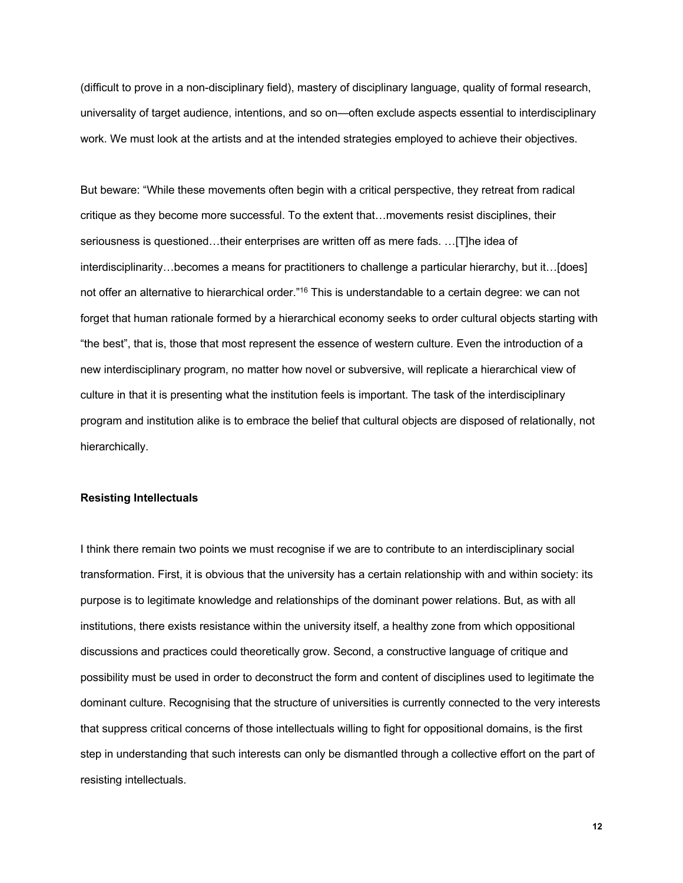(difficult to prove in a non-disciplinary field), mastery of disciplinary language, quality of formal research, universality of target audience, intentions, and so on—often exclude aspects essential to interdisciplinary work. We must look at the artists and at the intended strategies employed to achieve their objectives.

But beware: "While these movements often begin with a critical perspective, they retreat from radical critique as they become more successful. To the extent that…movements resist disciplines, their seriousness is questioned…their enterprises are written off as mere fads. …[T]he idea of interdisciplinarity…becomes a means for practitioners to challenge a particular hierarchy, but it…[does] not offer an alternative to hierarchical order."16 This is understandable to a certain degree: we can not forget that human rationale formed by a hierarchical economy seeks to order cultural objects starting with "the best", that is, those that most represent the essence of western culture. Even the introduction of a new interdisciplinary program, no matter how novel or subversive, will replicate a hierarchical view of culture in that it is presenting what the institution feels is important. The task of the interdisciplinary program and institution alike is to embrace the belief that cultural objects are disposed of relationally, not hierarchically.

# **Resisting Intellectuals**

I think there remain two points we must recognise if we are to contribute to an interdisciplinary social transformation. First, it is obvious that the university has a certain relationship with and within society: its purpose is to legitimate knowledge and relationships of the dominant power relations. But, as with all institutions, there exists resistance within the university itself, a healthy zone from which oppositional discussions and practices could theoretically grow. Second, a constructive language of critique and possibility must be used in order to deconstruct the form and content of disciplines used to legitimate the dominant culture. Recognising that the structure of universities is currently connected to the very interests that suppress critical concerns of those intellectuals willing to fight for oppositional domains, is the first step in understanding that such interests can only be dismantled through a collective effort on the part of resisting intellectuals.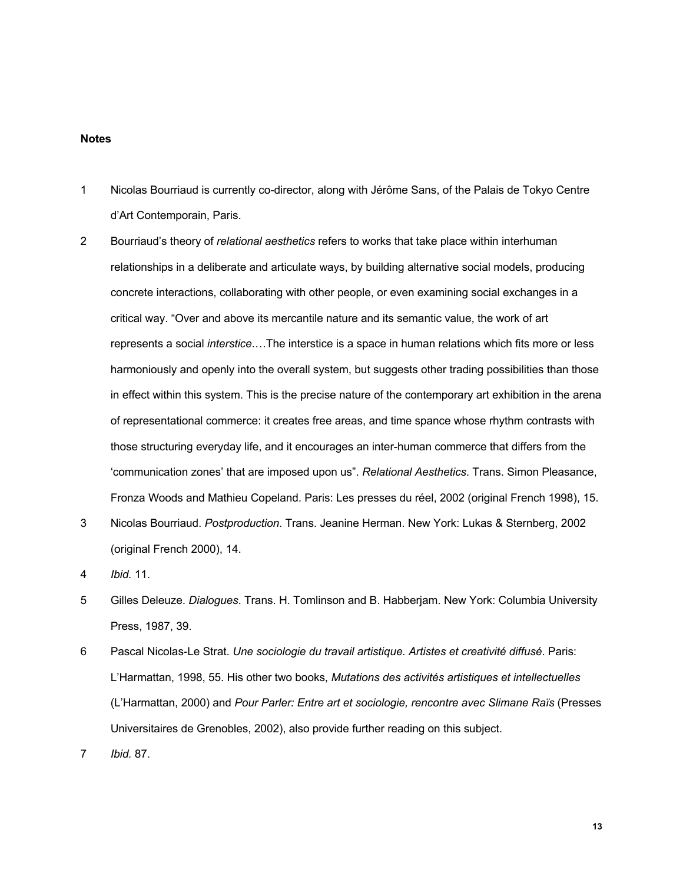#### **Notes**

- 1 Nicolas Bourriaud is currently co-director, along with Jérôme Sans, of the Palais de Tokyo Centre d'Art Contemporain, Paris.
- 2 Bourriaud's theory of *relational aesthetics* refers to works that take place within interhuman relationships in a deliberate and articulate ways, by building alternative social models, producing concrete interactions, collaborating with other people, or even examining social exchanges in a critical way. "Over and above its mercantile nature and its semantic value, the work of art represents a social *interstice*.…The interstice is a space in human relations which fits more or less harmoniously and openly into the overall system, but suggests other trading possibilities than those in effect within this system. This is the precise nature of the contemporary art exhibition in the arena of representational commerce: it creates free areas, and time spance whose rhythm contrasts with those structuring everyday life, and it encourages an inter-human commerce that differs from the 'communication zones' that are imposed upon us". *Relational Aesthetics*. Trans. Simon Pleasance, Fronza Woods and Mathieu Copeland. Paris: Les presses du réel, 2002 (original French 1998), 15.
- 3 Nicolas Bourriaud. *Postproduction*. Trans. Jeanine Herman. New York: Lukas & Sternberg, 2002 (original French 2000), 14.
- 4 *Ibid.* 11.
- 5 Gilles Deleuze. *Dialogues*. Trans. H. Tomlinson and B. Habberjam. New York: Columbia University Press, 1987, 39.
- 6 Pascal Nicolas-Le Strat. *Une sociologie du travail artistique. Artistes et creativité diffusé*. Paris: L'Harmattan, 1998, 55. His other two books, *Mutations des activités artistiques et intellectuelles* (L'Harmattan, 2000) and *Pour Parler: Entre art et sociologie, rencontre avec Slimane Raïs* (Presses Universitaires de Grenobles, 2002), also provide further reading on this subject.

7 *Ibid.* 87.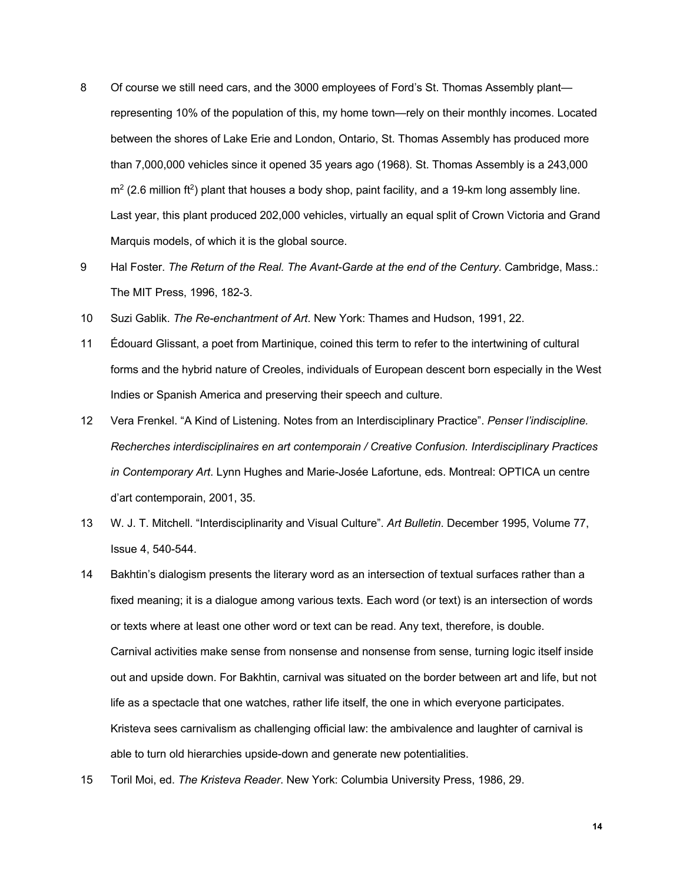- 8 Of course we still need cars, and the 3000 employees of Ford's St. Thomas Assembly plant representing 10% of the population of this, my home town—rely on their monthly incomes. Located between the shores of Lake Erie and London, Ontario, St. Thomas Assembly has produced more than 7,000,000 vehicles since it opened 35 years ago (1968). St. Thomas Assembly is a 243,000  $m<sup>2</sup>$  (2.6 million ft<sup>2</sup>) plant that houses a body shop, paint facility, and a 19-km long assembly line. Last year, this plant produced 202,000 vehicles, virtually an equal split of Crown Victoria and Grand Marquis models, of which it is the global source.
- 9 Hal Foster. *The Return of the Real. The Avant-Garde at the end of the Century*. Cambridge, Mass.: The MIT Press, 1996, 182-3.
- 10 Suzi Gablik. *The Re-enchantment of Art*. New York: Thames and Hudson, 1991, 22.
- 11 Édouard Glissant, a poet from Martinique, coined this term to refer to the intertwining of cultural forms and the hybrid nature of Creoles, individuals of European descent born especially in the West Indies or Spanish America and preserving their speech and culture.
- 12 Vera Frenkel. "A Kind of Listening. Notes from an Interdisciplinary Practice". *Penser l'indiscipline. Recherches interdisciplinaires en art contemporain / Creative Confusion. Interdisciplinary Practices in Contemporary Art*. Lynn Hughes and Marie-Josée Lafortune, eds. Montreal: OPTICA un centre d'art contemporain, 2001, 35.
- 13 W. J. T. Mitchell. "Interdisciplinarity and Visual Culture". *Art Bulletin*. December 1995, Volume 77, Issue 4, 540-544.
- 14 Bakhtin's dialogism presents the literary word as an intersection of textual surfaces rather than a fixed meaning; it is a dialogue among various texts. Each word (or text) is an intersection of words or texts where at least one other word or text can be read. Any text, therefore, is double. Carnival activities make sense from nonsense and nonsense from sense, turning logic itself inside out and upside down. For Bakhtin, carnival was situated on the border between art and life, but not life as a spectacle that one watches, rather life itself, the one in which everyone participates. Kristeva sees carnivalism as challenging official law: the ambivalence and laughter of carnival is able to turn old hierarchies upside-down and generate new potentialities.
- 15 Toril Moi, ed. *The Kristeva Reader*. New York: Columbia University Press, 1986, 29.